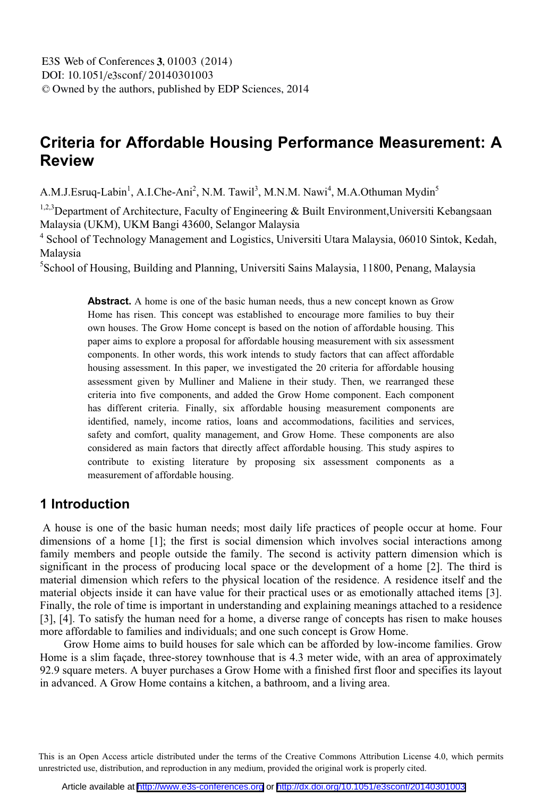# **Criteria for Affordable Housing Performance Measurement: A Review**

A.M.J.Esruq-Labin<sup>1</sup>, A.I.Che-Ani<sup>2</sup>, N.M. Tawil<sup>3</sup>, M.N.M. Nawi<sup>4</sup>, M.A.Othuman Mydin<sup>5</sup>

<sup>1,2,3</sup>Department of Architecture, Faculty of Engineering & Built Environment, Universiti Kebangsaan Malaysia (UKM), UKM Bangi 43600, Selangor Malaysia 4

<sup>4</sup> School of Technology Management and Logistics, Universiti Utara Malaysia, 06010 Sintok, Kedah, Malaysia

5 School of Housing, Building and Planning, Universiti Sains Malaysia, 11800, Penang, Malaysia

Abstract. A home is one of the basic human needs, thus a new concept known as Grow Home has risen. This concept was established to encourage more families to buy their own houses. The Grow Home concept is based on the notion of affordable housing. This paper aims to explore a proposal for affordable housing measurement with six assessment components. In other words, this work intends to study factors that can affect affordable housing assessment. In this paper, we investigated the 20 criteria for affordable housing assessment given by Mulliner and Maliene in their study. Then, we rearranged these criteria into five components, and added the Grow Home component. Each component has different criteria. Finally, six affordable housing measurement components are identified, namely, income ratios, loans and accommodations, facilities and services, safety and comfort, quality management, and Grow Home. These components are also considered as main factors that directly affect affordable housing. This study aspires to contribute to existing literature by proposing six assessment components as a measurement of affordable housing.

## **1 Introduction**

 A house is one of the basic human needs; most daily life practices of people occur at home. Four dimensions of a home [1]; the first is social dimension which involves social interactions among family members and people outside the family. The second is activity pattern dimension which is significant in the process of producing local space or the development of a home [2]. The third is material dimension which refers to the physical location of the residence. A residence itself and the material objects inside it can have value for their practical uses or as emotionally attached items [3]. Finally, the role of time is important in understanding and explaining meanings attached to a residence [3], [4]. To satisfy the human need for a home, a diverse range of concepts has risen to make houses more affordable to families and individuals; and one such concept is Grow Home.

Grow Home aims to build houses for sale which can be afforded by low-income families. Grow Home is a slim façade, three-storey townhouse that is 4.3 meter wide, with an area of approximately 92.9 square meters. A buyer purchases a Grow Home with a finished first floor and specifies its layout in advanced. A Grow Home contains a kitchen, a bathroom, and a living area.

This is an Open Access article distributed under the terms of the Creative Commons Attribution License 4.0, which permits unrestricted use, distribution, and reproduction in any medium, provided the original work is properly cited.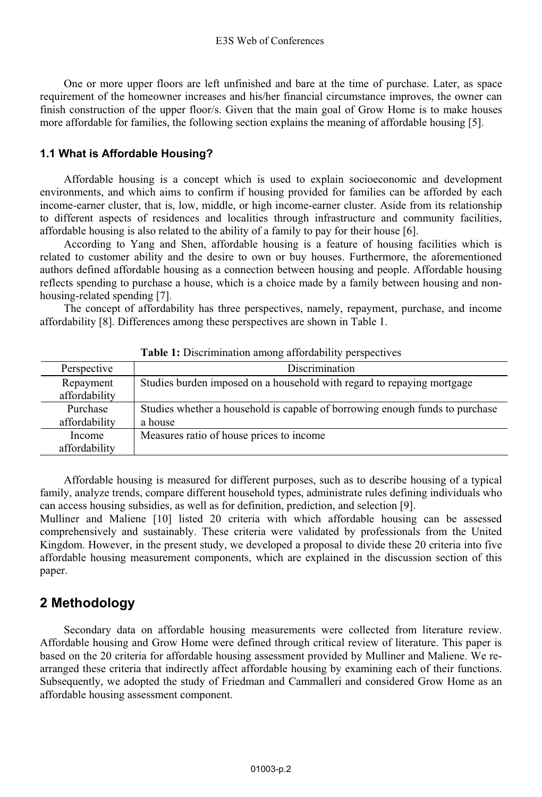One or more upper floors are left unfinished and bare at the time of purchase. Later, as space requirement of the homeowner increases and his/her financial circumstance improves, the owner can finish construction of the upper floor/s. Given that the main goal of Grow Home is to make houses more affordable for families, the following section explains the meaning of affordable housing [5].

### **1.1 What is Affordable Housing?**

Affordable housing is a concept which is used to explain socioeconomic and development environments, and which aims to confirm if housing provided for families can be afforded by each income-earner cluster, that is, low, middle, or high income-earner cluster. Aside from its relationship to different aspects of residences and localities through infrastructure and community facilities, affordable housing is also related to the ability of a family to pay for their house [6].

According to Yang and Shen, affordable housing is a feature of housing facilities which is related to customer ability and the desire to own or buy houses. Furthermore, the aforementioned authors defined affordable housing as a connection between housing and people. Affordable housing reflects spending to purchase a house, which is a choice made by a family between housing and nonhousing-related spending [7].

The concept of affordability has three perspectives, namely, repayment, purchase, and income affordability [8]. Differences among these perspectives are shown in Table 1.

| Perspective                | <b>Discrimination</b>                                                                   |
|----------------------------|-----------------------------------------------------------------------------------------|
| Repayment<br>affordability | Studies burden imposed on a household with regard to repaying mortgage                  |
| Purchase<br>affordability  | Studies whether a household is capable of borrowing enough funds to purchase<br>a house |
| Income<br>affordability    | Measures ratio of house prices to income                                                |

**Table 1:** Discrimination among affordability perspectives

Affordable housing is measured for different purposes, such as to describe housing of a typical family, analyze trends, compare different household types, administrate rules defining individuals who can access housing subsidies, as well as for definition, prediction, and selection [9].

Mulliner and Maliene [10] listed 20 criteria with which affordable housing can be assessed comprehensively and sustainably. These criteria were validated by professionals from the United Kingdom. However, in the present study, we developed a proposal to divide these 20 criteria into five affordable housing measurement components, which are explained in the discussion section of this paper.

## **2 Methodology**

Secondary data on affordable housing measurements were collected from literature review. Affordable housing and Grow Home were defined through critical review of literature. This paper is based on the 20 criteria for affordable housing assessment provided by Mulliner and Maliene. We rearranged these criteria that indirectly affect affordable housing by examining each of their functions. Subsequently, we adopted the study of Friedman and Cammalleri and considered Grow Home as an affordable housing assessment component.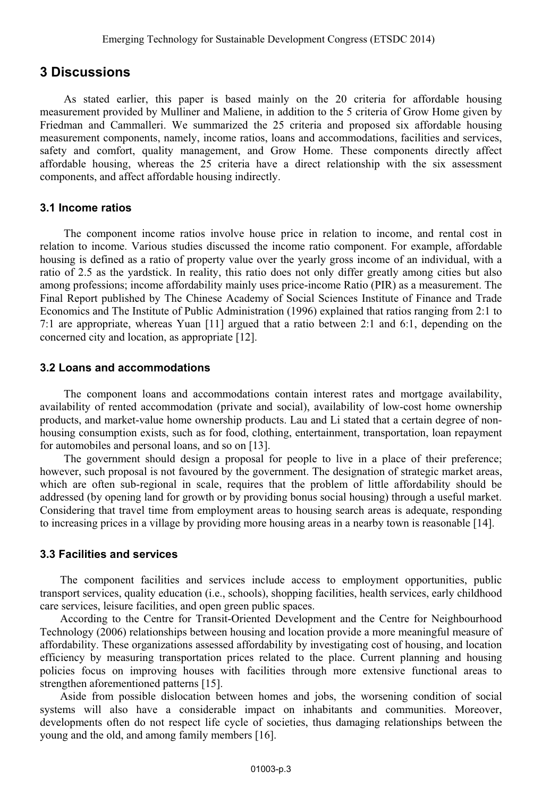## **3 Discussions**

As stated earlier, this paper is based mainly on the 20 criteria for affordable housing measurement provided by Mulliner and Maliene, in addition to the 5 criteria of Grow Home given by Friedman and Cammalleri. We summarized the 25 criteria and proposed six affordable housing measurement components, namely, income ratios, loans and accommodations, facilities and services, safety and comfort, quality management, and Grow Home. These components directly affect affordable housing, whereas the 25 criteria have a direct relationship with the six assessment components, and affect affordable housing indirectly.

### **3.1 Income ratios**

The component income ratios involve house price in relation to income, and rental cost in relation to income. Various studies discussed the income ratio component. For example, affordable housing is defined as a ratio of property value over the yearly gross income of an individual, with a ratio of 2.5 as the yardstick. In reality, this ratio does not only differ greatly among cities but also among professions; income affordability mainly uses price-income Ratio (PIR) as a measurement. The Final Report published by The Chinese Academy of Social Sciences Institute of Finance and Trade Economics and The Institute of Public Administration (1996) explained that ratios ranging from 2:1 to 7:1 are appropriate, whereas Yuan [11] argued that a ratio between 2:1 and 6:1, depending on the concerned city and location, as appropriate [12].

### **3.2 Loans and accommodations**

The component loans and accommodations contain interest rates and mortgage availability, availability of rented accommodation (private and social), availability of low-cost home ownership products, and market-value home ownership products. Lau and Li stated that a certain degree of nonhousing consumption exists, such as for food, clothing, entertainment, transportation, loan repayment for automobiles and personal loans, and so on [13].

The government should design a proposal for people to live in a place of their preference; however, such proposal is not favoured by the government. The designation of strategic market areas, which are often sub-regional in scale, requires that the problem of little affordability should be addressed (by opening land for growth or by providing bonus social housing) through a useful market. Considering that travel time from employment areas to housing search areas is adequate, responding to increasing prices in a village by providing more housing areas in a nearby town is reasonable [14].

### **3.3 Facilities and services**

 The component facilities and services include access to employment opportunities, public transport services, quality education (i.e., schools), shopping facilities, health services, early childhood care services, leisure facilities, and open green public spaces.

 According to the Centre for Transit-Oriented Development and the Centre for Neighbourhood Technology (2006) relationships between housing and location provide a more meaningful measure of affordability. These organizations assessed affordability by investigating cost of housing, and location efficiency by measuring transportation prices related to the place. Current planning and housing policies focus on improving houses with facilities through more extensive functional areas to strengthen aforementioned patterns [15].

 Aside from possible dislocation between homes and jobs, the worsening condition of social systems will also have a considerable impact on inhabitants and communities. Moreover, developments often do not respect life cycle of societies, thus damaging relationships between the young and the old, and among family members [16].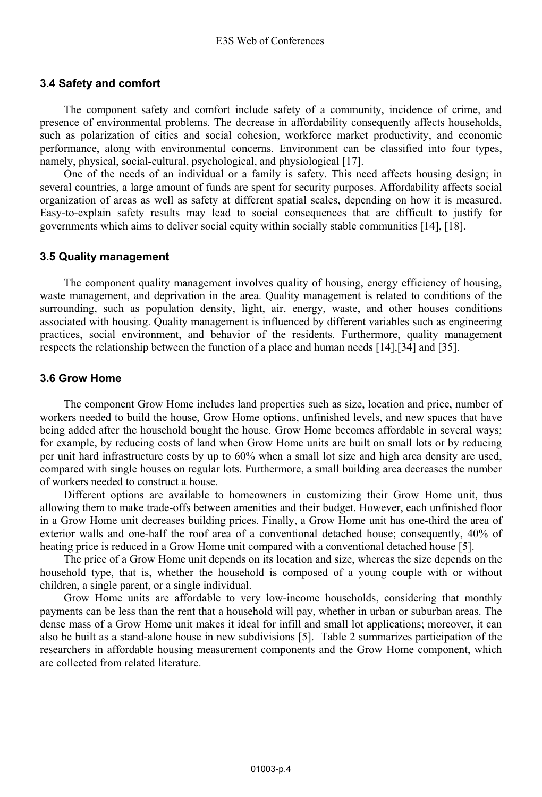### **3.4 Safety and comfort**

The component safety and comfort include safety of a community, incidence of crime, and presence of environmental problems. The decrease in affordability consequently affects households, such as polarization of cities and social cohesion, workforce market productivity, and economic performance, along with environmental concerns. Environment can be classified into four types, namely, physical, social-cultural, psychological, and physiological [17].

One of the needs of an individual or a family is safety. This need affects housing design; in several countries, a large amount of funds are spent for security purposes. Affordability affects social organization of areas as well as safety at different spatial scales, depending on how it is measured. Easy-to-explain safety results may lead to social consequences that are difficult to justify for governments which aims to deliver social equity within socially stable communities [14], [18].

#### **3.5 Quality management**

The component quality management involves quality of housing, energy efficiency of housing, waste management, and deprivation in the area. Quality management is related to conditions of the surrounding, such as population density, light, air, energy, waste, and other houses conditions associated with housing. Quality management is influenced by different variables such as engineering practices, social environment, and behavior of the residents. Furthermore, quality management respects the relationship between the function of a place and human needs [14],[34] and [35].

#### **3.6 Grow Home**

The component Grow Home includes land properties such as size, location and price, number of workers needed to build the house, Grow Home options, unfinished levels, and new spaces that have being added after the household bought the house. Grow Home becomes affordable in several ways; for example, by reducing costs of land when Grow Home units are built on small lots or by reducing per unit hard infrastructure costs by up to 60% when a small lot size and high area density are used, compared with single houses on regular lots. Furthermore, a small building area decreases the number of workers needed to construct a house.

Different options are available to homeowners in customizing their Grow Home unit, thus allowing them to make trade-offs between amenities and their budget. However, each unfinished floor in a Grow Home unit decreases building prices. Finally, a Grow Home unit has one-third the area of exterior walls and one-half the roof area of a conventional detached house; consequently, 40% of heating price is reduced in a Grow Home unit compared with a conventional detached house [5].

The price of a Grow Home unit depends on its location and size, whereas the size depends on the household type, that is, whether the household is composed of a young couple with or without children, a single parent, or a single individual.

Grow Home units are affordable to very low-income households, considering that monthly payments can be less than the rent that a household will pay, whether in urban or suburban areas. The dense mass of a Grow Home unit makes it ideal for infill and small lot applications; moreover, it can also be built as a stand-alone house in new subdivisions [5]. Table 2 summarizes participation of the researchers in affordable housing measurement components and the Grow Home component, which are collected from related literature.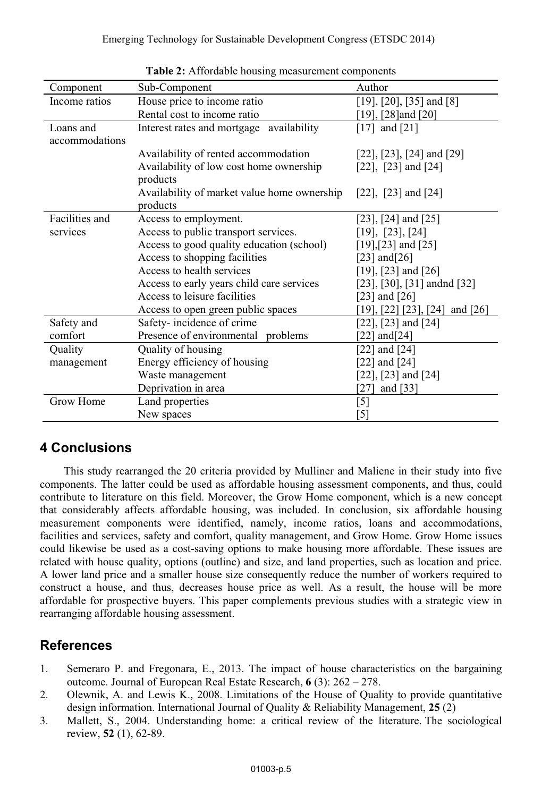| Component      | Sub-Component                               | Author                              |
|----------------|---------------------------------------------|-------------------------------------|
| Income ratios  | House price to income ratio                 | $[19]$ , $[20]$ , $[35]$ and $[8]$  |
|                | Rental cost to income ratio                 | [19], [28] and [20]                 |
| Loans and      | Interest rates and mortgage availability    | $[17]$ and $[21]$                   |
| accommodations |                                             |                                     |
|                | Availability of rented accommodation        | $[22]$ , $[23]$ , $[24]$ and $[29]$ |
|                | Availability of low cost home ownership     | $[22]$ , $[23]$ and $[24]$          |
|                | products                                    |                                     |
|                | Availability of market value home ownership | $[22]$ , $[23]$ and $[24]$          |
|                | products                                    |                                     |
| Facilities and | Access to employment.                       | $[23]$ , $[24]$ and $[25]$          |
| services       | Access to public transport services.        | [19], [23], [24]                    |
|                | Access to good quality education (school)   | $[19]$ , $[23]$ and $[25]$          |
|                | Access to shopping facilities               | [23] and $[26]$                     |
|                | Access to health services                   | $[19]$ , $[23]$ and $[26]$          |
|                | Access to early years child care services   | [23], [30], [31] andnd [32]         |
|                | Access to leisure facilities                | [23] and $[26]$                     |
|                | Access to open green public spaces          | [19], [22] [23], [24] and [26]      |
| Safety and     | Safety-incidence of crime                   | $[22]$ , $[23]$ and $[24]$          |
| comfort        | Presence of environmental problems          | [22] and $[24]$                     |
| Quality        | Quality of housing                          | [22] and $[24]$                     |
| management     | Energy efficiency of housing                | $[22]$ and $[24]$                   |
|                | Waste management                            | $[22]$ , $[23]$ and $[24]$          |
|                | Deprivation in area                         | [27] and $[33]$                     |
| Grow Home      | Land properties                             | $[5]$                               |
|                | New spaces                                  | $\lceil 5 \rceil$                   |

**Table 2:** Affordable housing measurement components

## **4 Conclusions**

This study rearranged the 20 criteria provided by Mulliner and Maliene in their study into five components. The latter could be used as affordable housing assessment components, and thus, could contribute to literature on this field. Moreover, the Grow Home component, which is a new concept that considerably affects affordable housing, was included. In conclusion, six affordable housing measurement components were identified, namely, income ratios, loans and accommodations, facilities and services, safety and comfort, quality management, and Grow Home. Grow Home issues could likewise be used as a cost-saving options to make housing more affordable. These issues are related with house quality, options (outline) and size, and land properties, such as location and price. A lower land price and a smaller house size consequently reduce the number of workers required to construct a house, and thus, decreases house price as well. As a result, the house will be more affordable for prospective buyers. This paper complements previous studies with a strategic view in rearranging affordable housing assessment.

## **References**

- 1. Semeraro P. and Fregonara, E., 2013. The impact of house characteristics on the bargaining outcome. Journal of European Real Estate Research, **6** (3): 262 – 278.
- 2. Olewnik, A. and Lewis K., 2008. Limitations of the House of Quality to provide quantitative design information. International Journal of Quality & Reliability Management, **25** (2)
- 3. Mallett, S., 2004. Understanding home: a critical review of the literature. The sociological review, **52** (1), 62-89.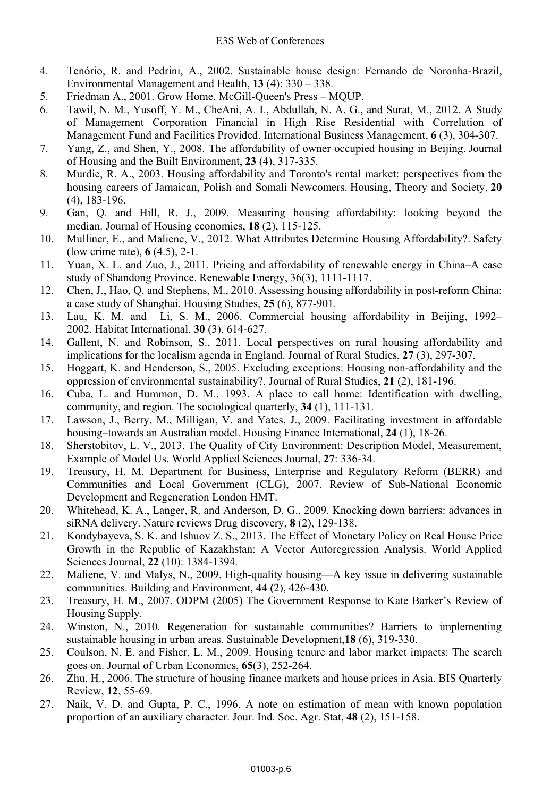- 4. Tenório, R. and Pedrini, A., 2002. Sustainable house design: Fernando de Noronha-Brazil, Environmental Management and Health, **13** (4): 330 – 338.
- 5. Friedman A., 2001. Grow Home. McGill-Queen's Press MQUP.
- 6. Tawil, N. M., Yusoff, Y. M., CheAni, A. I., Abdullah, N. A. G., and Surat, M., 2012. A Study of Management Corporation Financial in High Rise Residential with Correlation of Management Fund and Facilities Provided. International Business Management, **6** (3), 304-307.
- 7. Yang, Z., and Shen, Y., 2008. The affordability of owner occupied housing in Beijing. Journal of Housing and the Built Environment, **23** (4), 317-335.
- 8. Murdie, R. A., 2003. Housing affordability and Toronto's rental market: perspectives from the housing careers of Jamaican, Polish and Somali Newcomers. Housing, Theory and Society, **20** (4), 183-196.
- 9. Gan, Q. and Hill, R. J., 2009. Measuring housing affordability: looking beyond the median. Journal of Housing economics, **18** (2), 115-125.
- 10. Mulliner, E., and Maliene, V., 2012. What Attributes Determine Housing Affordability?. Safety (low crime rate), **6** (4.5), 2-1.
- 11. Yuan, X. L. and Zuo, J., 2011. Pricing and affordability of renewable energy in China–A case study of Shandong Province. Renewable Energy, 36(3), 1111-1117.
- 12. Chen, J., Hao, Q. and Stephens, M., 2010. Assessing housing affordability in post-reform China: a case study of Shanghai. Housing Studies, **25** (6), 877-901.
- 13. Lau, K. M. and Li, S. M., 2006. Commercial housing affordability in Beijing, 1992– 2002. Habitat International, **30** (3), 614-627.
- 14. Gallent, N. and Robinson, S., 2011. Local perspectives on rural housing affordability and implications for the localism agenda in England. Journal of Rural Studies, **27** (3), 297-307.
- 15. Hoggart, K. and Henderson, S., 2005. Excluding exceptions: Housing non-affordability and the oppression of environmental sustainability?. Journal of Rural Studies, **21** (2), 181-196.
- 16. Cuba, L. and Hummon, D. M., 1993. A place to call home: Identification with dwelling, community, and region. The sociological quarterly, **34** (1), 111-131.
- 17. Lawson, J., Berry, M., Milligan, V. and Yates, J., 2009. Facilitating investment in affordable housing–towards an Australian model. Housing Finance International, **24** (1), 18-26.
- 18. Sherstobitov, L. V., 2013. The Quality of City Environment: Description Model, Measurement, Example of Model Us. World Applied Sciences Journal, **27**: 336-34.
- 19. Treasury, H. M. Department for Business, Enterprise and Regulatory Reform (BERR) and Communities and Local Government (CLG), 2007. Review of Sub-National Economic Development and Regeneration London HMT.
- 20. Whitehead, K. A., Langer, R. and Anderson, D. G., 2009. Knocking down barriers: advances in siRNA delivery. Nature reviews Drug discovery, **8** (2), 129-138.
- 21. Kondybayeva, S. K. and Ishuov Z. S., 2013. The Effect of Monetary Policy on Real House Price Growth in the Republic of Kazakhstan: A Vector Autoregression Analysis. World Applied Sciences Journal, **22** (10): 1384-1394.
- 22. Maliene, V. and Malys, N., 2009. High-quality housing—A key issue in delivering sustainable communities. Building and Environment, **44 (**2), 426-430.
- 23. Treasury, H. M., 2007. ODPM (2005) The Government Response to Kate Barker's Review of Housing Supply.
- 24. Winston, N., 2010. Regeneration for sustainable communities? Barriers to implementing sustainable housing in urban areas. Sustainable Development,**18** (6), 319-330.
- 25. Coulson, N. E. and Fisher, L. M., 2009. Housing tenure and labor market impacts: The search goes on. Journal of Urban Economics, **65**(3), 252-264.
- 26. Zhu, H., 2006. The structure of housing finance markets and house prices in Asia. BIS Quarterly Review, **12**, 55-69.
- 27. Naik, V. D. and Gupta, P. C., 1996. A note on estimation of mean with known population proportion of an auxiliary character. Jour. Ind. Soc. Agr. Stat, **48** (2), 151-158.